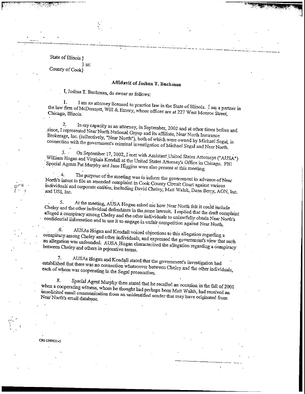## State of Illinois } }ss:

County of Cook}

## **Affidavit of Joshua T. Buctman**

L, Joshua T. Buchman, do swear as follows:

I am an attorney licensed to practice law in the State of Illinois. I am a partner in fluid and an anomey incensed to practice law in the State of Illinois,  $\int$  am a part-Chicago, Illinois;<br>bicago, Illinois;

 $2.$  In my capacity as at the september,  $2.02$  $\frac{2}{3}$ . If they capacity as an attorney, in September, 2002 and at other times before I represented Magnetic  $\frac{1}{3}$ . since, I represented Near North National Group and its affiliate, Near North Insurance Brokerage, Inc. (collectively, "Near North"), both of which were owned by Michael Segal, in connection with the government's criminal investigation of Michael Segal and Near North,

3. • On September 17, 2002, r.  $\frac{1}{2}$  On Schienner 17, 2002, I met with Assistant United States Attorneys ("AIISA") William Hogan and Virginia Kendall at the United States Attorney's Office in Chicago. FBI<br>Special Agents Pat Murphy and Jane Higgins were also present at this meeting.

 $\Delta$ . The purpose of the government information the government in advance of  $\Delta$ .  $\mathcal{L}$  north in the purpose of the meeting was to inform the government in advance of Near North's intent to file an amended complaint in Cook County Circuit Court against various individuals and corporate entities, including David Cheley, Matt Walsh, Dana Berry, AON, Inc.

 $\delta$ t the meeting,  $\Delta$ USA Hogan asked me how  $\Delta$ Chelew and the other individual defendants asked me how Near North felt it could include. Cheley and the other individual defendants in the same lawsuit. I replied that the draft complaint alleged a conspiracy among Cheley and the other individuals to unlawfully obtain Near North's confidential information and to use it to engage in unfair competition against Near North.

*6.* AUSAS Hogan and Kendall voice of the total voice of the total voice of the total voice of the total voice of the total voice of the total voice of the total voice of the total voice of the total voice of the total voi conspiracy .among Cheley and other individuals, and expressed the government's view that such conspiracy among Cheley and other individuals, and expressed the government's view that such an allegation was unfounded. AUSA Hogan characterized the allegation regarding a conspiracy between Cheley and others in pejorative terms.

7. AUSAs Hogan and Kendall stated, that the government's investigation had  $\ldots$  are connected that the government's investigation had example that there was 110 connection whatsoever between

8. Special Agent Murphy then stated that he recalled an occasion in the fall of 2001 when a cooperating with a cooperation with hen stated that he recalled an occasion in the fall of 2001 under the complete multipless, whom he thought had perhaps been Matt Walsh, had received on unsolicited email communication from an unidentified sender that may have originated from

**00-1369531 <rf**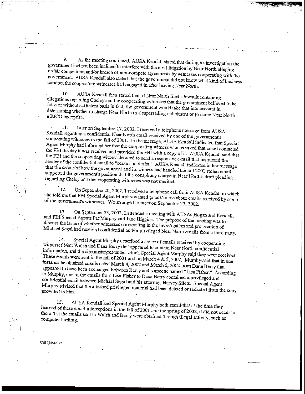9. As the meeting continued, AUSA Kendall stated that during its investigation the government tad not been inclined to interfere with the civil litigation by Near North alleging unfair competition and/or breach of non-compete agreements by witnesses cooperating with the government. AUSA Kendall also stated that the governments by witnesses cooperating with the conduct the cooperating witnesses bad engaged in  $\alpha$  is a state lead to  $\alpha$  North .

10. AUSA Kendall then stated that, if Near North filed a lawsuit containing allegations regarding Cheley and the cooperating witnesses that the government believed to be false or without sufficient basis in fact, the government would take that into account in determining whether to charge Near Near Near  $\mu$  is a superseding indicate that into account in RICO enterprise.

'II. Later on September 17, 2002,1 received a telephone message from AUSA Kendall regarding a confidential Near North email received by one of the government's cooperating witnesses in the fall of 2001. In the message, AUSA Kendall indicated that Special  $\frac{A}{A}$  and  $\frac{A}{A}$  in the finite of 2001. In the message, AUSA Kendall indicated that Special contact Murphy had informed her that the cooperation  $\epsilon$ FBI the day it was received and provided the FBI with ass who received that email contacted  $\epsilon$  FBI the day it was received and provided that  $\epsilon$ the FBI the day it was received and provided the FBI with a copy of it. AUSA Kendall said that the FBI and the cooperating witness decided to send a responsive e-mail that instructed the  $\frac{1}{2}$ s and the cooperating witness decided to send a responsive e-mail that instructed the metal email to "cease and deliver" AUSA Kendal in the metal of the confidential email to "cease and deliver" AUSA Kendal in th that the details of how the government and  $t$  is with  $\frac{1}{2}$  stolen endall indicated in her message supported the government's position that the consumers had handled the fall 2001 stolen email regard the government's position that the conspiracy charge in N

12. On September 20, 2002, I received a telephone call from AUSA Kendall in which  $\epsilon$  to the total Murphy-wanted to the that FBI Special Agent Murphy-wanted a telephone call from AUSA Kendall in which  $\frac{1}{2}$  the government's witnesses. We arranged to the september 23, 2002. The government's witnesses.  $\frac{1}{2}$ 

.13. On September 23, 2002,I.attended a meeting with AUSAs Hogan and Kendall, and FBI Special Agents Pat'Murphy and Jane Higgins. The purpose of the meeting was to discuss the issue of whether witnesses cooperating in the investigation and prosecution of' Michael Segal bad received confidential and/or privileged Near North emails from a third party.

14. Special Agent Murphy described a series of emails received by cooperating witnesses'Matt Walsh and Dana Berry that appeared to contain Near North confidential information, and the circumstances under which Special Agent Morth Confidential Agent Murphy said the circumstances under which Special Agent Murphy said the circumstances under which Special Agent Murphy said the circumst  $T_{\text{max}}$  and the bit can in the fall of 2001 and on March 4  $\alpha$  5,2002. The said they were received. These emails were sent in the fall of 2001 and on March 4 & 5, 2002. Murphy said that in one instance he obtained emails dated March 4, 2002 and March 5, 2002 from Dana Berry that  $\epsilon$ ared to have been exchanged between  $B_{\text{max}}$  and March 5, 2002 from Dana Berry that to we come of the emails from Lisa Fisher to Dana Berry and someone named "Lisa Fisher." Accord and Murphy, one of the emails from Lisa Fisher  $R_{\text{max}}$ to Murphy, one of the emails from Lisa Fisher to Dana Berry contained a privileged and confidential email between Michael Segal and his attorney, Harvey Silets. Special Agent  $M$ urphy advised that the attached privileged material had been deleted. Special Agent  $\frac{1}{2}$  vided to him.

15. AUSA Kendall and Special Agent Murphy both stated-that at the time they learned of these email interceptions in the fall of 2001 and the stated that at the time they the measurement to Walsh and Berry were obtained the spring of 2002, it did not occur to that the emails sent to Walsh and Berry were obtained to the spring of 2002, it did not occur to them that the emails sent to Walsh and Berry were obtained through illegal activity, such as computer hacking.

**CHM 369831 v5**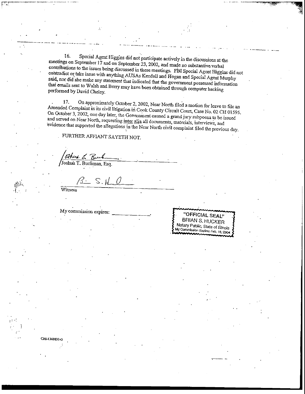16, Special Agent Higgins did not participate actively in the discussions at the meetings on September 17 and on September 23, 2002, and made no substantive, verbal contributions to the issues being discussed in the seperature  $\mu$ s and made no substantive verbal  $\sigma$ contradict or take issues with anything  $\Lambda$ USAs  $\overline{H}$  and  $\overline{H}$  and  $\overline{H}$  and  $\overline{H}$  and  $\overline{H}$  and  $\overline{H}$  and  $\overline{H}$  and  $\overline{H}$  and  $\overline{H}$  and  $\overline{H}$  and  $\overline{H}$  and  $\overline{H}$  and  $\overline{H}$  and  $\over$ contradict or take issue with anything AUSAs Kendall and Hogan and Special Agent Murphy said, nor did she make any statement that indicated that the government possessed information that emails sent to Walsh and Berry may have been obtained through computer hacking performed by David Cheley.

17. On approximately October *2,*2002, Near North filed a motion for leave to file an  $\frac{1}{\sqrt{2}}$  calculation in its civil litigation is  $\frac{1}{\sqrt{2}}$ . Near North filed a motion for leave to file an On October 3, 2002, one day later, the Government County Circuit Court, Case No. 02 CH 01595 On October 3, 2002, one day later, the Government caused a grand jury subpoena to be issued<br>and served on Near North, requesting inter alia all documents, materials, interviews, and evidence that supported the allegations in the Near North civil complaint filed the previous day.

FURTHER AFFIANT SAYETH NOT.

*'*Joshua T. Bucfiman, Esq.

 $S. K$ 

Witness

My commission expires:



CHI-1369831v5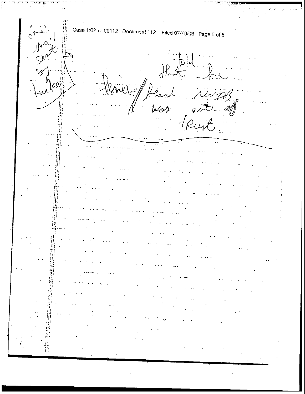指明器 Case 1:02-cr-00112 Document 112 Filed 07/10/03 Page 6 of 6 书